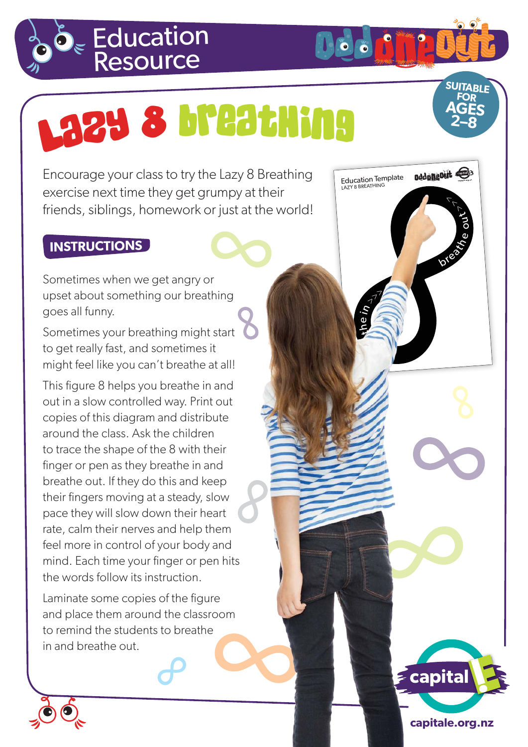

## Laz<sup>y</sup> <sup>8</sup> <sup>B</sup>reathin<sup>g</sup>

Encourage your class to try the Lazy 8 Breathing exercise next time they get grumpy at their friends, siblings, homework or just at the world!

## **INSTRUCTIONS**

Sometimes when we get angry or upset about something our breathing goes all funny.

Sometimes your breathing might start to get really fast, and sometimes it might feel like you can't breathe at all!

This figure 8 helps you breathe in and out in a slow controlled way. Print out copies of this diagram and distribute around the class. Ask the children to trace the shape of the 8 with their finger or pen as they breathe in and breathe out. If they do this and keep their fingers moving at a steady, slow pace they will slow down their heart rate, calm their nerves and help them feel more in control of your body and mind. Each time your finger or pen hits the words follow its instruction.

Laminate some copies of the figure and place them around the classroom to remind the students to breathe in and breathe out.



**SUITABLE FOR AGES 2–8**

breath e

oろ  $\tau_{\tau}$ 

Education Template Dedunguit

**ONTARY OF BU** 

 $\begin{picture}(180,10) \put(0,0){\line(1,0){10}} \put(15,0){\line(1,0){10}} \put(15,0){\line(1,0){10}} \put(15,0){\line(1,0){10}} \put(15,0){\line(1,0){10}} \put(15,0){\line(1,0){10}} \put(15,0){\line(1,0){10}} \put(15,0){\line(1,0){10}} \put(15,0){\line(1,0){10}} \put(15,0){\line(1,0){10}} \put(15,0){\line(1,0){10}} \put(15,0){\line($ 

<sup>B</sup> <sup>e</sup><sup>r</sup>

 $\neg$ 

 $\mathbf{z}$ ee in